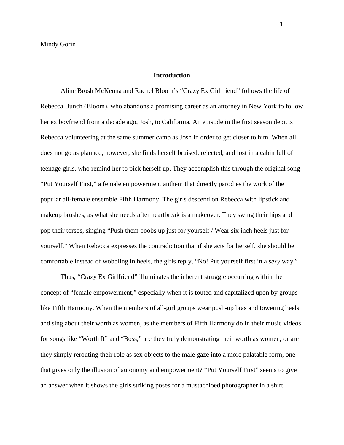## **Introduction**

Aline Brosh McKenna and Rachel Bloom's "Crazy Ex Girlfriend" follows the life of Rebecca Bunch (Bloom), who abandons a promising career as an attorney in New York to follow her ex boyfriend from a decade ago, Josh, to California. An episode in the first season depicts Rebecca volunteering at the same summer camp as Josh in order to get closer to him. When all does not go as planned, however, she finds herself bruised, rejected, and lost in a cabin full of teenage girls, who remind her to pick herself up. They accomplish this through the original song "Put Yourself First," a female empowerment anthem that directly parodies the work of the popular all-female ensemble Fifth Harmony. The girls descend on Rebecca with lipstick and makeup brushes, as what she needs after heartbreak is a makeover. They swing their hips and pop their torsos, singing "Push them boobs up just for yourself / Wear six inch heels just for yourself." When Rebecca expresses the contradiction that if she acts for herself, she should be comfortable instead of wobbling in heels, the girls reply, "No! Put yourself first in a *sexy* way."

Thus, "Crazy Ex Girlfriend" illuminates the inherent struggle occurring within the concept of "female empowerment," especially when it is touted and capitalized upon by groups like Fifth Harmony. When the members of all-girl groups wear push-up bras and towering heels and sing about their worth as women, as the members of Fifth Harmony do in their music videos for songs like "Worth It" and "Boss," are they truly demonstrating their worth as women, or are they simply rerouting their role as sex objects to the male gaze into a more palatable form, one that gives only the illusion of autonomy and empowerment? "Put Yourself First" seems to give an answer when it shows the girls striking poses for a mustachioed photographer in a shirt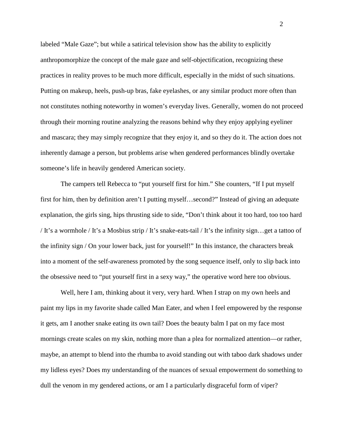labeled "Male Gaze"; but while a satirical television show has the ability to explicitly anthropomorphize the concept of the male gaze and self-objectification, recognizing these practices in reality proves to be much more difficult, especially in the midst of such situations. Putting on makeup, heels, push-up bras, fake eyelashes, or any similar product more often than not constitutes nothing noteworthy in women's everyday lives. Generally, women do not proceed through their morning routine analyzing the reasons behind why they enjoy applying eyeliner and mascara; they may simply recognize that they enjoy it, and so they do it. The action does not inherently damage a person, but problems arise when gendered performances blindly overtake someone's life in heavily gendered American society.

The campers tell Rebecca to "put yourself first for him." She counters, "If I put myself first for him, then by definition aren't I putting myself…second?" Instead of giving an adequate explanation, the girls sing, hips thrusting side to side, "Don't think about it too hard, too too hard / It's a wormhole / It's a Mosbius strip / It's snake-eats-tail / It's the infinity sign…get a tattoo of the infinity sign / On your lower back, just for yourself!" In this instance, the characters break into a moment of the self-awareness promoted by the song sequence itself, only to slip back into the obsessive need to "put yourself first in a sexy way," the operative word here too obvious.

Well, here I am, thinking about it very, very hard. When I strap on my own heels and paint my lips in my favorite shade called Man Eater, and when I feel empowered by the response it gets, am I another snake eating its own tail? Does the beauty balm I pat on my face most mornings create scales on my skin, nothing more than a plea for normalized attention—or rather, maybe, an attempt to blend into the rhumba to avoid standing out with taboo dark shadows under my lidless eyes? Does my understanding of the nuances of sexual empowerment do something to dull the venom in my gendered actions, or am I a particularly disgraceful form of viper?

2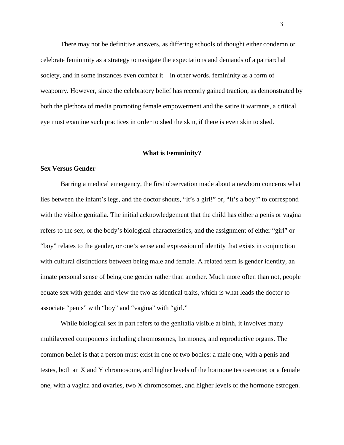There may not be definitive answers, as differing schools of thought either condemn or celebrate femininity as a strategy to navigate the expectations and demands of a patriarchal society, and in some instances even combat it—in other words, femininity as a form of weaponry. However, since the celebratory belief has recently gained traction, as demonstrated by both the plethora of media promoting female empowerment and the satire it warrants, a critical eye must examine such practices in order to shed the skin, if there is even skin to shed.

#### **What is Femininity?**

## **Sex Versus Gender**

Barring a medical emergency, the first observation made about a newborn concerns what lies between the infant's legs, and the doctor shouts, "It's a girl!" or, "It's a boy!" to correspond with the visible genitalia. The initial acknowledgement that the child has either a penis or vagina refers to the sex*,* or the body's biological characteristics, and the assignment of either "girl" or "boy" relates to the gender*,* or one's sense and expression of identity that exists in conjunction with cultural distinctions between being male and female. A related term is gender identity*,* an innate personal sense of being one gender rather than another. Much more often than not, people equate sex with gender and view the two as identical traits, which is what leads the doctor to associate "penis" with "boy" and "vagina" with "girl."

While biological sex in part refers to the genitalia visible at birth, it involves many multilayered components including chromosomes, hormones, and reproductive organs. The common belief is that a person must exist in one of two bodies: a male one, with a penis and testes, both an X and Y chromosome, and higher levels of the hormone testosterone; or a female one, with a vagina and ovaries, two X chromosomes, and higher levels of the hormone estrogen.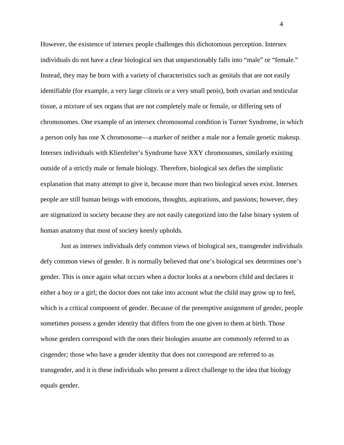However, the existence of intersex people challenges this dichotomous perception. Intersex individuals do not have a clear biological sex that unquestionably falls into "male" or "female." Instead, they may be born with a variety of characteristics such as genitals that are not easily identifiable (for example, a very large clitoris or a very small penis), both ovarian and testicular tissue, a mixture of sex organs that are not completely male or female, or differing sets of chromosomes. One example of an intersex chromosomal condition is Turner Syndrome, in which a person only has one X chromosome—a marker of neither a male nor a female genetic makeup. Intersex individuals with Klienfelter's Syndrome have XXY chromosomes, similarly existing outside of a strictly male or female biology. Therefore, biological sex defies the simplistic explanation that many attempt to give it, because more than two biological sexes exist. Intersex people are still human beings with emotions, thoughts, aspirations, and passions; however, they are stigmatized in society because they are not easily categorized into the false binary system of human anatomy that most of society keenly upholds.

Just as intersex individuals defy common views of biological sex, transgender individuals defy common views of gender. It is normally believed that one's biological sex determines one's gender. This is once again what occurs when a doctor looks at a newborn child and declares it either a boy or a girl; the doctor does not take into account what the child may grow up to feel, which is a critical component of gender. Because of the preemptive assignment of gender, people sometimes possess a gender identity that differs from the one given to them at birth. Those whose genders correspond with the ones their biologies assume are commonly referred to as cisgender*;* those who have a gender identity that does not correspond are referred to as transgender*,* and it is these individuals who present a direct challenge to the idea that biology equals gender.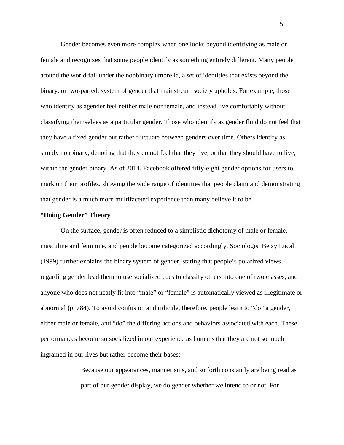Gender becomes even more complex when one looks beyond identifying as male or female and recognizes that some people identify as something entirely different. Many people around the world fall under the nonbinary umbrella*,* a set of identities that exists beyond the binary*,* or two-parted, system of gender that mainstream society upholds. For example, those who identify as agender feel neither male nor female, and instead live comfortably without classifying themselves as a particular gender. Those who identify as gender fluid do not feel that they have a fixed gender but rather fluctuate between genders over time. Others identify as simply nonbinary, denoting that they do not feel that they live, or that they should have to live, within the gender binary. As of 2014, Facebook offered fifty-eight gender options for users to mark on their profiles, showing the wide range of identities that people claim and demonstrating that gender is a much more multifaceted experience than many believe it to be.

## **"Doing Gender" Theory**

On the surface, gender is often reduced to a simplistic dichotomy of male or female, masculine and feminine, and people become categorized accordingly. Sociologist Betsy Lucal (1999) further explains the binary system of gender, stating that people's polarized views regarding gender lead them to use socialized cues to classify others into one of two classes, and anyone who does not neatly fit into "male" or "female" is automatically viewed as illegitimate or abnormal (p. 784). To avoid confusion and ridicule, therefore, people learn to "do" a gender, either male or female, and "do" the differing actions and behaviors associated with each. These performances become so socialized in our experience as humans that they are not so much ingrained in our lives but rather become their bases:

> Because our appearances, mannerisms, and so forth constantly are being read as part of our gender display, we do gender whether we intend to or not. For

5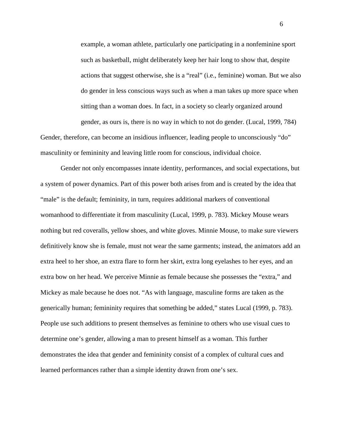example, a woman athlete, particularly one participating in a nonfeminine sport such as basketball, might deliberately keep her hair long to show that, despite actions that suggest otherwise, she is a "real" (i.e., feminine) woman. But we also do gender in less conscious ways such as when a man takes up more space when sitting than a woman does. In fact, in a society so clearly organized around gender, as ours is, there is no way in which to not do gender. (Lucal, 1999, 784)

Gender, therefore, can become an insidious influencer, leading people to unconsciously "do" masculinity or femininity and leaving little room for conscious, individual choice.

Gender not only encompasses innate identity, performances, and social expectations, but a system of power dynamics. Part of this power both arises from and is created by the idea that "male" is the default; femininity, in turn, requires additional markers of conventional womanhood to differentiate it from masculinity (Lucal, 1999, p. 783). Mickey Mouse wears nothing but red coveralls, yellow shoes, and white gloves. Minnie Mouse, to make sure viewers definitively know she is female, must not wear the same garments; instead, the animators add an extra heel to her shoe, an extra flare to form her skirt, extra long eyelashes to her eyes, and an extra bow on her head. We perceive Minnie as female because she possesses the "extra," and Mickey as male because he does not. "As with language, masculine forms are taken as the generically human; femininity requires that something be added," states Lucal (1999, p. 783). People use such additions to present themselves as feminine to others who use visual cues to determine one's gender, allowing a man to present himself as a woman. This further demonstrates the idea that gender and femininity consist of a complex of cultural cues and learned performances rather than a simple identity drawn from one's sex.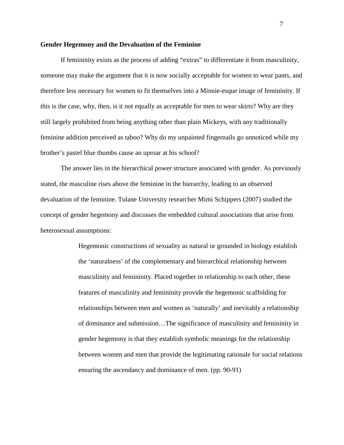#### **Gender Hegemony and the Devaluation of the Feminine**

If femininity exists as the process of adding "extras" to differentiate it from masculinity, someone may make the argument that it is now socially acceptable for women to wear pants, and therefore less necessary for women to fit themselves into a Minnie-esque image of femininity. If this is the case, why, then, is it not equally as acceptable for men to wear skirts? Why are they still largely prohibited from being anything other than plain Mickeys, with any traditionally feminine addition perceived as taboo? Why do my unpainted fingernails go unnoticed while my brother's pastel blue thumbs cause an uproar at his school?

The answer lies in the hierarchical power structure associated with gender. As previously stated, the masculine rises above the feminine in the hierarchy, leading to an observed devaluation of the feminine. Tulane University researcher Mimi Schippers (2007) studied the concept of gender hegemony and discusses the embedded cultural associations that arise from heterosexual assumptions:

> Hegemonic constructions of sexuality as natural or grounded in biology establish the 'naturalness' of the complementary and hierarchical relationship between masculinity and femininity. Placed together in relationship to each other, these features of masculinity and femininity provide the hegemonic scaffolding for relationships between men and women as 'naturally' and inevitably a relationship of dominance and submission…The significance of masculinity and femininity in gender hegemony is that they establish symbolic meanings for the relationship between women and men that provide the legitimating rationale for social relations ensuring the ascendancy and dominance of men. (pp. 90-91)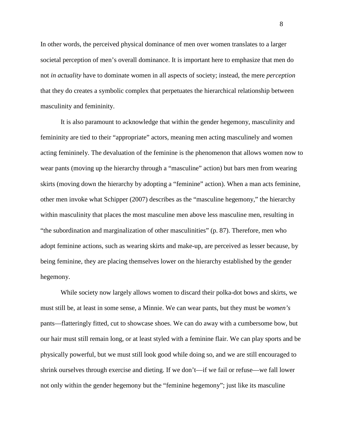In other words, the perceived physical dominance of men over women translates to a larger societal perception of men's overall dominance. It is important here to emphasize that men do not *in actuality* have to dominate women in all aspects of society; instead, the mere *perception* that they do creates a symbolic complex that perpetuates the hierarchical relationship between masculinity and femininity.

It is also paramount to acknowledge that within the gender hegemony, masculinity and femininity are tied to their "appropriate" actors, meaning men acting masculinely and women acting femininely. The devaluation of the feminine is the phenomenon that allows women now to wear pants (moving up the hierarchy through a "masculine" action) but bars men from wearing skirts (moving down the hierarchy by adopting a "feminine" action). When a man acts feminine, other men invoke what Schipper (2007) describes as the "masculine hegemony," the hierarchy within masculinity that places the most masculine men above less masculine men, resulting in "the subordination and marginalization of other masculinities" (p. 87). Therefore, men who adopt feminine actions, such as wearing skirts and make-up, are perceived as lesser because, by being feminine, they are placing themselves lower on the hierarchy established by the gender hegemony.

While society now largely allows women to discard their polka-dot bows and skirts, we must still be, at least in some sense, a Minnie. We can wear pants, but they must be *women's*  pants—flatteringly fitted, cut to showcase shoes. We can do away with a cumbersome bow, but our hair must still remain long, or at least styled with a feminine flair. We can play sports and be physically powerful, but we must still look good while doing so, and we are still encouraged to shrink ourselves through exercise and dieting. If we don't—if we fail or refuse—we fall lower not only within the gender hegemony but the "feminine hegemony"; just like its masculine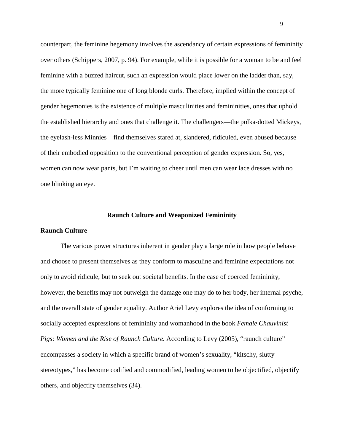counterpart, the feminine hegemony involves the ascendancy of certain expressions of femininity over others (Schippers, 2007, p. 94). For example, while it is possible for a woman to be and feel feminine with a buzzed haircut, such an expression would place lower on the ladder than, say, the more typically feminine one of long blonde curls. Therefore, implied within the concept of gender hegemonies is the existence of multiple masculinities and femininities, ones that uphold the established hierarchy and ones that challenge it. The challengers—the polka-dotted Mickeys, the eyelash-less Minnies—find themselves stared at, slandered, ridiculed, even abused because of their embodied opposition to the conventional perception of gender expression. So, yes, women can now wear pants, but I'm waiting to cheer until men can wear lace dresses with no one blinking an eye.

#### **Raunch Culture and Weaponized Femininity**

#### **Raunch Culture**

The various power structures inherent in gender play a large role in how people behave and choose to present themselves as they conform to masculine and feminine expectations not only to avoid ridicule, but to seek out societal benefits. In the case of coerced femininity, however, the benefits may not outweigh the damage one may do to her body, her internal psyche, and the overall state of gender equality. Author Ariel Levy explores the idea of conforming to socially accepted expressions of femininity and womanhood in the book *Female Chauvinist Pigs: Women and the Rise of Raunch Culture.* According to Levy (2005), "raunch culture" encompasses a society in which a specific brand of women's sexuality, "kitschy, slutty stereotypes," has become codified and commodified, leading women to be objectified, objectify others, and objectify themselves (34).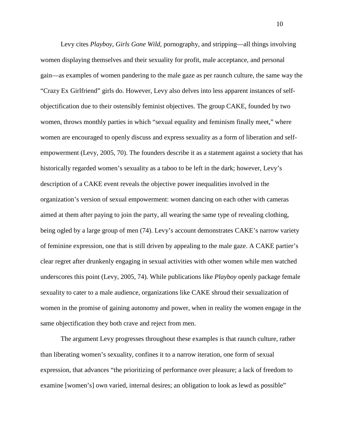Levy cites *Playboy, Girls Gone Wild,* pornography, and stripping—all things involving women displaying themselves and their sexuality for profit, male acceptance, and personal gain—as examples of women pandering to the male gaze as per raunch culture, the same way the "Crazy Ex Girlfriend" girls do. However, Levy also delves into less apparent instances of selfobjectification due to their ostensibly feminist objectives. The group CAKE, founded by two women, throws monthly parties in which "sexual equality and feminism finally meet," where women are encouraged to openly discuss and express sexuality as a form of liberation and selfempowerment (Levy, 2005, 70). The founders describe it as a statement against a society that has historically regarded women's sexuality as a taboo to be left in the dark; however, Levy's description of a CAKE event reveals the objective power inequalities involved in the organization's version of sexual empowerment: women dancing on each other with cameras aimed at them after paying to join the party, all wearing the same type of revealing clothing, being ogled by a large group of men (74). Levy's account demonstrates CAKE's narrow variety of feminine expression, one that is still driven by appealing to the male gaze. A CAKE partier's clear regret after drunkenly engaging in sexual activities with other women while men watched underscores this point (Levy, 2005, 74). While publications like *Playboy* openly package female sexuality to cater to a male audience, organizations like CAKE shroud their sexualization of women in the promise of gaining autonomy and power, when in reality the women engage in the same objectification they both crave and reject from men.

The argument Levy progresses throughout these examples is that raunch culture, rather than liberating women's sexuality, confines it to a narrow iteration, one form of sexual expression, that advances "the prioritizing of performance over pleasure; a lack of freedom to examine [women's] own varied, internal desires; an obligation to look as lewd as possible"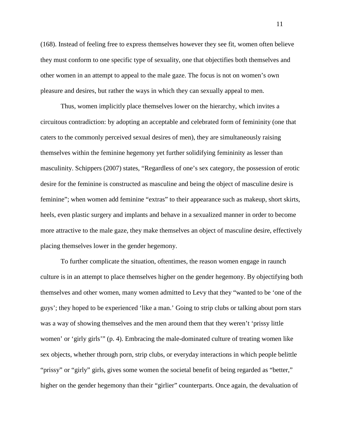(168). Instead of feeling free to express themselves however they see fit, women often believe they must conform to one specific type of sexuality, one that objectifies both themselves and other women in an attempt to appeal to the male gaze. The focus is not on women's own pleasure and desires, but rather the ways in which they can sexually appeal to men.

Thus, women implicitly place themselves lower on the hierarchy, which invites a circuitous contradiction: by adopting an acceptable and celebrated form of femininity (one that caters to the commonly perceived sexual desires of men), they are simultaneously raising themselves within the feminine hegemony yet further solidifying femininity as lesser than masculinity. Schippers (2007) states, "Regardless of one's sex category, the possession of erotic desire for the feminine is constructed as masculine and being the object of masculine desire is feminine"; when women add feminine "extras" to their appearance such as makeup, short skirts, heels, even plastic surgery and implants and behave in a sexualized manner in order to become more attractive to the male gaze, they make themselves an object of masculine desire, effectively placing themselves lower in the gender hegemony.

To further complicate the situation, oftentimes, the reason women engage in raunch culture is in an attempt to place themselves higher on the gender hegemony. By objectifying both themselves and other women, many women admitted to Levy that they "wanted to be 'one of the guys'; they hoped to be experienced 'like a man.' Going to strip clubs or talking about porn stars was a way of showing themselves and the men around them that they weren't 'prissy little women' or 'girly girls'" (p. 4). Embracing the male-dominated culture of treating women like sex objects, whether through porn, strip clubs, or everyday interactions in which people belittle "prissy" or "girly" girls, gives some women the societal benefit of being regarded as "better," higher on the gender hegemony than their "girlier" counterparts. Once again, the devaluation of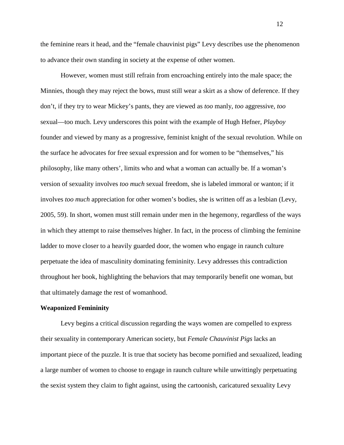the feminine rears it head, and the "female chauvinist pigs" Levy describes use the phenomenon to advance their own standing in society at the expense of other women.

However, women must still refrain from encroaching entirely into the male space; the Minnies, though they may reject the bows, must still wear a skirt as a show of deference. If they don't, if they try to wear Mickey's pants, they are viewed as *too* manly, *too* aggressive, *too* sexual—too much. Levy underscores this point with the example of Hugh Hefner, *Playboy* founder and viewed by many as a progressive, feminist knight of the sexual revolution. While on the surface he advocates for free sexual expression and for women to be "themselves," his philosophy, like many others', limits who and what a woman can actually be. If a woman's version of sexuality involves *too much* sexual freedom, she is labeled immoral or wanton; if it involves *too much* appreciation for other women's bodies, she is written off as a lesbian (Levy, 2005, 59). In short, women must still remain under men in the hegemony, regardless of the ways in which they attempt to raise themselves higher. In fact, in the process of climbing the feminine ladder to move closer to a heavily guarded door, the women who engage in raunch culture perpetuate the idea of masculinity dominating femininity. Levy addresses this contradiction throughout her book, highlighting the behaviors that may temporarily benefit one woman, but that ultimately damage the rest of womanhood.

#### **Weaponized Femininity**

Levy begins a critical discussion regarding the ways women are compelled to express their sexuality in contemporary American society, but *Female Chauvinist Pigs* lacks an important piece of the puzzle. It is true that society has become pornified and sexualized, leading a large number of women to choose to engage in raunch culture while unwittingly perpetuating the sexist system they claim to fight against, using the cartoonish, caricatured sexuality Levy

12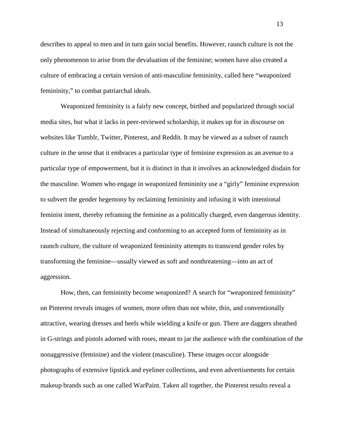describes to appeal to men and in turn gain social benefits. However, raunch culture is not the only phenomenon to arise from the devaluation of the feminine; women have also created a culture of embracing a certain version of anti-masculine femininity, called here "weaponized femininity," to combat patriarchal ideals.

Weaponized femininity is a fairly new concept, birthed and popularized through social media sites, but what it lacks in peer-reviewed scholarship, it makes up for in discourse on websites like Tumblr, Twitter, Pinterest, and Reddit. It may be viewed as a subset of raunch culture in the sense that it embraces a particular type of feminine expression as an avenue to a particular type of empowerment, but it is distinct in that it involves an acknowledged disdain for the masculine. Women who engage in weaponized femininity use a "girly" feminine expression to subvert the gender hegemony by reclaiming femininity and infusing it with intentional feminist intent, thereby reframing the feminine as a politically charged, even dangerous identity. Instead of simultaneously rejecting and conforming to an accepted form of femininity as in raunch culture, the culture of weaponized femininity attempts to transcend gender roles by transforming the feminine—usually viewed as soft and nonthreatening—into an act of aggression.

How, then, can femininity become weaponized? A search for "weaponized femininity" on Pinterest reveals images of women, more often than not white, thin, and conventionally attractive, wearing dresses and heels while wielding a knife or gun. There are daggers sheathed in G-strings and pistols adorned with roses, meant to jar the audience with the combination of the nonaggressive (feminine) and the violent (masculine). These images occur alongside photographs of extensive lipstick and eyeliner collections, and even advertisements for certain makeup brands such as one called WarPaint. Taken all together, the Pinterest results reveal a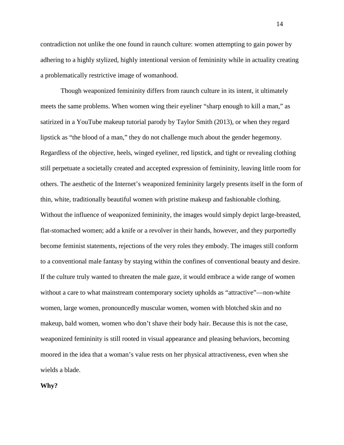contradiction not unlike the one found in raunch culture: women attempting to gain power by adhering to a highly stylized, highly intentional version of femininity while in actuality creating a problematically restrictive image of womanhood.

Though weaponized femininity differs from raunch culture in its intent, it ultimately meets the same problems. When women wing their eyeliner "sharp enough to kill a man," as satirized in a YouTube makeup tutorial parody by Taylor Smith (2013), or when they regard lipstick as "the blood of a man," they do not challenge much about the gender hegemony. Regardless of the objective, heels, winged eyeliner, red lipstick, and tight or revealing clothing still perpetuate a societally created and accepted expression of femininity, leaving little room for others. The aesthetic of the Internet's weaponized femininity largely presents itself in the form of thin, white, traditionally beautiful women with pristine makeup and fashionable clothing. Without the influence of weaponized femininity, the images would simply depict large-breasted, flat-stomached women; add a knife or a revolver in their hands, however, and they purportedly become feminist statements, rejections of the very roles they embody. The images still conform to a conventional male fantasy by staying within the confines of conventional beauty and desire. If the culture truly wanted to threaten the male gaze, it would embrace a wide range of women without a care to what mainstream contemporary society upholds as "attractive"—non-white women, large women, pronouncedly muscular women, women with blotched skin and no makeup, bald women, women who don't shave their body hair. Because this is not the case, weaponized femininity is still rooted in visual appearance and pleasing behaviors, becoming moored in the idea that a woman's value rests on her physical attractiveness, even when she wields a blade.

#### **Why?**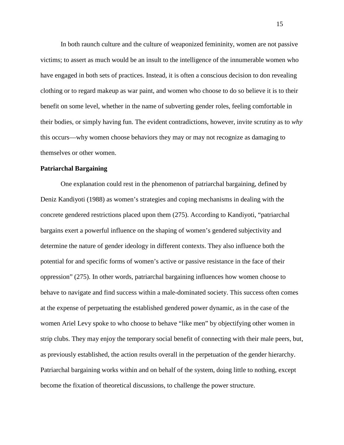In both raunch culture and the culture of weaponized femininity, women are not passive victims; to assert as much would be an insult to the intelligence of the innumerable women who have engaged in both sets of practices. Instead, it is often a conscious decision to don revealing clothing or to regard makeup as war paint, and women who choose to do so believe it is to their benefit on some level, whether in the name of subverting gender roles, feeling comfortable in their bodies, or simply having fun. The evident contradictions, however, invite scrutiny as to *why* this occurs—why women choose behaviors they may or may not recognize as damaging to themselves or other women.

## **Patriarchal Bargaining**

One explanation could rest in the phenomenon of patriarchal bargaining, defined by Deniz Kandiyoti (1988) as women's strategies and coping mechanisms in dealing with the concrete gendered restrictions placed upon them (275). According to Kandiyoti, "patriarchal bargains exert a powerful influence on the shaping of women's gendered subjectivity and determine the nature of gender ideology in different contexts. They also influence both the potential for and specific forms of women's active or passive resistance in the face of their oppression" (275). In other words, patriarchal bargaining influences how women choose to behave to navigate and find success within a male-dominated society. This success often comes at the expense of perpetuating the established gendered power dynamic, as in the case of the women Ariel Levy spoke to who choose to behave "like men" by objectifying other women in strip clubs. They may enjoy the temporary social benefit of connecting with their male peers, but, as previously established, the action results overall in the perpetuation of the gender hierarchy. Patriarchal bargaining works within and on behalf of the system, doing little to nothing, except become the fixation of theoretical discussions, to challenge the power structure.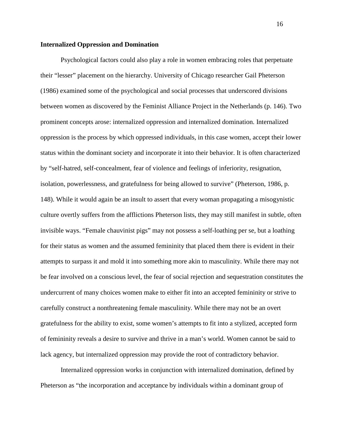## **Internalized Oppression and Domination**

Psychological factors could also play a role in women embracing roles that perpetuate their "lesser" placement on the hierarchy. University of Chicago researcher Gail Pheterson (1986) examined some of the psychological and social processes that underscored divisions between women as discovered by the Feminist Alliance Project in the Netherlands (p. 146). Two prominent concepts arose: internalized oppression and internalized domination. Internalized oppression is the process by which oppressed individuals, in this case women, accept their lower status within the dominant society and incorporate it into their behavior. It is often characterized by "self-hatred, self-concealment, fear of violence and feelings of inferiority, resignation, isolation, powerlessness, and gratefulness for being allowed to survive" (Pheterson, 1986, p. 148). While it would again be an insult to assert that every woman propagating a misogynistic culture overtly suffers from the afflictions Pheterson lists, they may still manifest in subtle, often invisible ways. "Female chauvinist pigs" may not possess a self-loathing per se, but a loathing for their status as women and the assumed femininity that placed them there is evident in their attempts to surpass it and mold it into something more akin to masculinity. While there may not be fear involved on a conscious level, the fear of social rejection and sequestration constitutes the undercurrent of many choices women make to either fit into an accepted femininity or strive to carefully construct a nonthreatening female masculinity. While there may not be an overt gratefulness for the ability to exist, some women's attempts to fit into a stylized, accepted form of femininity reveals a desire to survive and thrive in a man's world. Women cannot be said to lack agency, but internalized oppression may provide the root of contradictory behavior.

Internalized oppression works in conjunction with internalized domination, defined by Pheterson as "the incorporation and acceptance by individuals within a dominant group of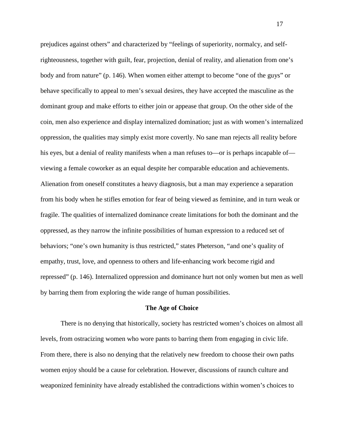prejudices against others" and characterized by "feelings of superiority, normalcy, and selfrighteousness, together with guilt, fear, projection, denial of reality, and alienation from one's body and from nature" (p. 146). When women either attempt to become "one of the guys" or behave specifically to appeal to men's sexual desires, they have accepted the masculine as the dominant group and make efforts to either join or appease that group. On the other side of the coin, men also experience and display internalized domination; just as with women's internalized oppression, the qualities may simply exist more covertly. No sane man rejects all reality before his eyes, but a denial of reality manifests when a man refuses to—or is perhaps incapable of viewing a female coworker as an equal despite her comparable education and achievements. Alienation from oneself constitutes a heavy diagnosis, but a man may experience a separation from his body when he stifles emotion for fear of being viewed as feminine, and in turn weak or fragile. The qualities of internalized dominance create limitations for both the dominant and the oppressed, as they narrow the infinite possibilities of human expression to a reduced set of behaviors; "one's own humanity is thus restricted," states Pheterson, "and one's quality of empathy, trust, love, and openness to others and life-enhancing work become rigid and repressed" (p. 146). Internalized oppression and dominance hurt not only women but men as well by barring them from exploring the wide range of human possibilities.

### **The Age of Choice**

There is no denying that historically, society has restricted women's choices on almost all levels, from ostracizing women who wore pants to barring them from engaging in civic life. From there, there is also no denying that the relatively new freedom to choose their own paths women enjoy should be a cause for celebration. However, discussions of raunch culture and weaponized femininity have already established the contradictions within women's choices to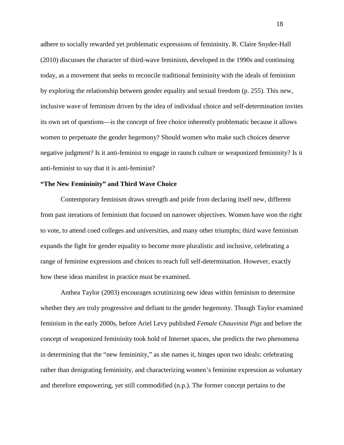adhere to socially rewarded yet problematic expressions of femininity. R. Claire Snyder-Hall (2010) discusses the character of third-wave feminism, developed in the 1990s and continuing today, as a movement that seeks to reconcile traditional femininity with the ideals of feminism by exploring the relationship between gender equality and sexual freedom (p. 255). This new, inclusive wave of feminism driven by the idea of individual choice and self-determination invites its own set of questions—is the concept of free choice inherently problematic because it allows women to perpetuate the gender hegemony? Should women who make such choices deserve negative judgment? Is it anti-feminist to engage in raunch culture or weaponized femininity? Is it anti-feminist to say that it is anti-feminist?

## **"The New Femininity" and Third Wave Choice**

Contemporary feminism draws strength and pride from declaring itself new, different from past iterations of feminism that focused on narrower objectives. Women have won the right to vote, to attend coed colleges and universities, and many other triumphs; third wave feminism expands the fight for gender equality to become more pluralistic and inclusive, celebrating a range of feminine expressions and choices to reach full self-determination. However, exactly how these ideas manifest in practice must be examined.

Anthea Taylor (2003) encourages scrutinizing new ideas within feminism to determine whether they are truly progressive and defiant to the gender hegemony. Though Taylor examined feminism in the early 2000s, before Ariel Levy published *Female Chauvinist Pigs* and before the concept of weaponized femininity took hold of Internet spaces, she predicts the two phenomena in determining that the "new femininity," as she names it, hinges upon two ideals: celebrating rather than denigrating femininity, and characterizing women's feminine expression as voluntary and therefore empowering, yet still commodified (n.p.). The former concept pertains to the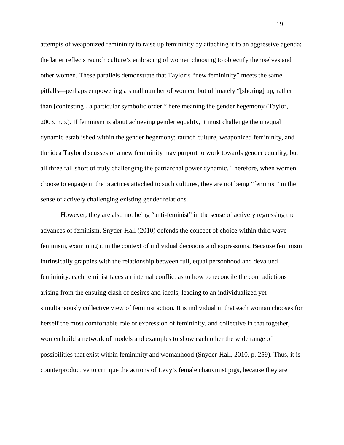attempts of weaponized femininity to raise up femininity by attaching it to an aggressive agenda; the latter reflects raunch culture's embracing of women choosing to objectify themselves and other women. These parallels demonstrate that Taylor's "new femininity" meets the same pitfalls—perhaps empowering a small number of women, but ultimately "[shoring] up, rather than [contesting], a particular symbolic order," here meaning the gender hegemony (Taylor, 2003, n.p.). If feminism is about achieving gender equality, it must challenge the unequal dynamic established within the gender hegemony; raunch culture, weaponized femininity, and the idea Taylor discusses of a new femininity may purport to work towards gender equality, but all three fall short of truly challenging the patriarchal power dynamic. Therefore, when women choose to engage in the practices attached to such cultures, they are not being "feminist" in the sense of actively challenging existing gender relations.

However, they are also not being "anti-feminist" in the sense of actively regressing the advances of feminism. Snyder-Hall (2010) defends the concept of choice within third wave feminism, examining it in the context of individual decisions and expressions. Because feminism intrinsically grapples with the relationship between full, equal personhood and devalued femininity, each feminist faces an internal conflict as to how to reconcile the contradictions arising from the ensuing clash of desires and ideals, leading to an individualized yet simultaneously collective view of feminist action. It is individual in that each woman chooses for herself the most comfortable role or expression of femininity, and collective in that together, women build a network of models and examples to show each other the wide range of possibilities that exist within femininity and womanhood (Snyder-Hall, 2010, p. 259). Thus, it is counterproductive to critique the actions of Levy's female chauvinist pigs, because they are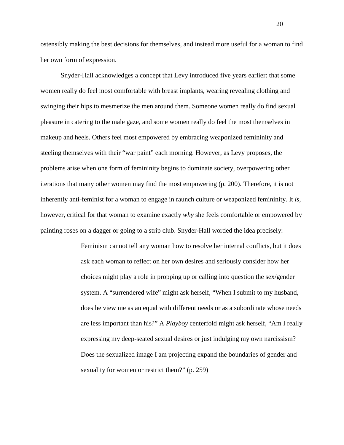ostensibly making the best decisions for themselves, and instead more useful for a woman to find her own form of expression.

Snyder-Hall acknowledges a concept that Levy introduced five years earlier: that some women really do feel most comfortable with breast implants, wearing revealing clothing and swinging their hips to mesmerize the men around them. Someone women really do find sexual pleasure in catering to the male gaze, and some women really do feel the most themselves in makeup and heels. Others feel most empowered by embracing weaponized femininity and steeling themselves with their "war paint" each morning. However, as Levy proposes, the problems arise when one form of femininity begins to dominate society, overpowering other iterations that many other women may find the most empowering (p. 200). Therefore, it is not inherently anti-feminist for a woman to engage in raunch culture or weaponized femininity. It *is,* however, critical for that woman to examine exactly *why* she feels comfortable or empowered by painting roses on a dagger or going to a strip club. Snyder-Hall worded the idea precisely:

> Feminism cannot tell any woman how to resolve her internal conflicts, but it does ask each woman to reflect on her own desires and seriously consider how her choices might play a role in propping up or calling into question the sex/gender system. A "surrendered wife" might ask herself, "When I submit to my husband, does he view me as an equal with different needs or as a subordinate whose needs are less important than his?" A *Playboy* centerfold might ask herself, "Am I really expressing my deep-seated sexual desires or just indulging my own narcissism? Does the sexualized image I am projecting expand the boundaries of gender and sexuality for women or restrict them?" (p. 259)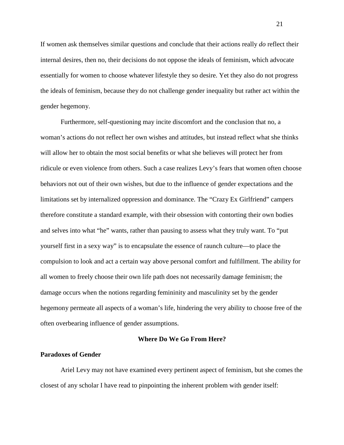If women ask themselves similar questions and conclude that their actions really *do* reflect their internal desires, then no, their decisions do not oppose the ideals of feminism, which advocate essentially for women to choose whatever lifestyle they so desire. Yet they also do not progress the ideals of feminism, because they do not challenge gender inequality but rather act within the gender hegemony.

Furthermore, self-questioning may incite discomfort and the conclusion that no, a woman's actions do not reflect her own wishes and attitudes, but instead reflect what she thinks will allow her to obtain the most social benefits or what she believes will protect her from ridicule or even violence from others. Such a case realizes Levy's fears that women often choose behaviors not out of their own wishes, but due to the influence of gender expectations and the limitations set by internalized oppression and dominance. The "Crazy Ex Girlfriend" campers therefore constitute a standard example, with their obsession with contorting their own bodies and selves into what "he" wants, rather than pausing to assess what they truly want. To "put yourself first in a sexy way" is to encapsulate the essence of raunch culture—to place the compulsion to look and act a certain way above personal comfort and fulfillment. The ability for all women to freely choose their own life path does not necessarily damage feminism; the damage occurs when the notions regarding femininity and masculinity set by the gender hegemony permeate all aspects of a woman's life, hindering the very ability to choose free of the often overbearing influence of gender assumptions.

#### **Where Do We Go From Here?**

#### **Paradoxes of Gender**

Ariel Levy may not have examined every pertinent aspect of feminism, but she comes the closest of any scholar I have read to pinpointing the inherent problem with gender itself: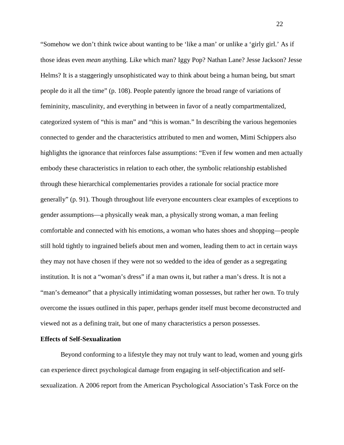"Somehow we don't think twice about wanting to be 'like a man' or unlike a 'girly girl.' As if those ideas even *mean* anything. Like which man? Iggy Pop? Nathan Lane? Jesse Jackson? Jesse Helms? It is a staggeringly unsophisticated way to think about being a human being, but smart people do it all the time" (p. 108). People patently ignore the broad range of variations of femininity, masculinity, and everything in between in favor of a neatly compartmentalized, categorized system of "this is man" and "this is woman." In describing the various hegemonies connected to gender and the characteristics attributed to men and women, Mimi Schippers also highlights the ignorance that reinforces false assumptions: "Even if few women and men actually embody these characteristics in relation to each other, the symbolic relationship established through these hierarchical complementaries provides a rationale for social practice more generally" (p. 91). Though throughout life everyone encounters clear examples of exceptions to gender assumptions—a physically weak man, a physically strong woman, a man feeling comfortable and connected with his emotions, a woman who hates shoes and shopping—people still hold tightly to ingrained beliefs about men and women, leading them to act in certain ways they may not have chosen if they were not so wedded to the idea of gender as a segregating institution. It is not a "woman's dress" if a man owns it, but rather a man's dress. It is not a "man's demeanor" that a physically intimidating woman possesses, but rather her own. To truly overcome the issues outlined in this paper, perhaps gender itself must become deconstructed and viewed not as a defining trait, but one of many characteristics a person possesses.

#### **Effects of Self-Sexualization**

Beyond conforming to a lifestyle they may not truly want to lead, women and young girls can experience direct psychological damage from engaging in self-objectification and selfsexualization. A 2006 report from the American Psychological Association's Task Force on the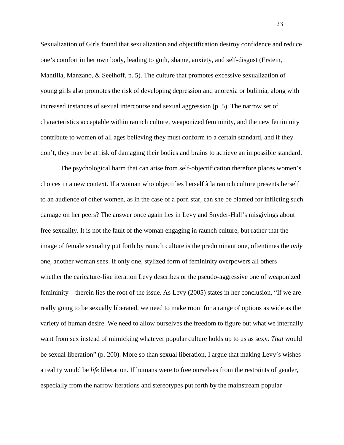Sexualization of Girls found that sexualization and objectification destroy confidence and reduce one's comfort in her own body, leading to guilt, shame, anxiety, and self-disgust (Erstein, Mantilla, Manzano, & Seelhoff, p. 5). The culture that promotes excessive sexualization of young girls also promotes the risk of developing depression and anorexia or bulimia, along with increased instances of sexual intercourse and sexual aggression (p. 5). The narrow set of characteristics acceptable within raunch culture, weaponized femininity, and the new femininity contribute to women of all ages believing they must conform to a certain standard, and if they don't, they may be at risk of damaging their bodies and brains to achieve an impossible standard.

The psychological harm that can arise from self-objectification therefore places women's choices in a new context. If a woman who objectifies herself à la raunch culture presents herself to an audience of other women, as in the case of a porn star, can she be blamed for inflicting such damage on her peers? The answer once again lies in Levy and Snyder-Hall's misgivings about free sexuality. It is not the fault of the woman engaging in raunch culture, but rather that the image of female sexuality put forth by raunch culture is the predominant one, oftentimes the *only* one, another woman sees. If only one, stylized form of femininity overpowers all others whether the caricature-like iteration Levy describes or the pseudo-aggressive one of weaponized femininity—therein lies the root of the issue. As Levy (2005) states in her conclusion, "If we are really going to be sexually liberated, we need to make room for a range of options as wide as the variety of human desire. We need to allow ourselves the freedom to figure out what we internally want from sex instead of mimicking whatever popular culture holds up to us as sexy. *That* would be sexual liberation" (p. 200). More so than sexual liberation, I argue that making Levy's wishes a reality would be *life* liberation. If humans were to free ourselves from the restraints of gender, especially from the narrow iterations and stereotypes put forth by the mainstream popular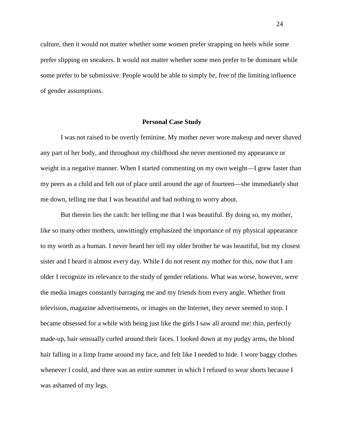culture, then it would not matter whether some women prefer strapping on heels while some prefer slipping on sneakers. It would not matter whether some men prefer to be dominant while some prefer to be submissive. People would be able to simply *be,* free of the limiting influence of gender assumptions.

### **Personal Case Study**

I was not raised to be overtly feminine. My mother never wore makeup and never shaved any part of her body, and throughout my childhood she never mentioned my appearance or weight in a negative manner. When I started commenting on my own weight—I grew faster than my peers as a child and felt out of place until around the age of fourteen—she immediately shut me down, telling me that I was beautiful and had nothing to worry about.

But therein lies the catch: her telling me that I was beautiful. By doing so, my mother, like so many other mothers, unwittingly emphasized the importance of my physical appearance to my worth as a human. I never heard her tell my older brother he was beautiful, but my closest sister and I heard it almost every day. While I do not resent my mother for this, now that I am older I recognize its relevance to the study of gender relations. What was worse, however, were the media images constantly barraging me and my friends from every angle. Whether from television, magazine advertisements, or images on the Internet, they never seemed to stop. I became obsessed for a while with being just like the girls I saw all around me: thin, perfectly made-up, hair sensually curled around their faces. I looked down at my pudgy arms, the blond hair falling in a limp frame around my face, and felt like I needed to hide. I wore baggy clothes whenever I could, and there was an entire summer in which I refused to wear shorts because I was ashamed of my legs.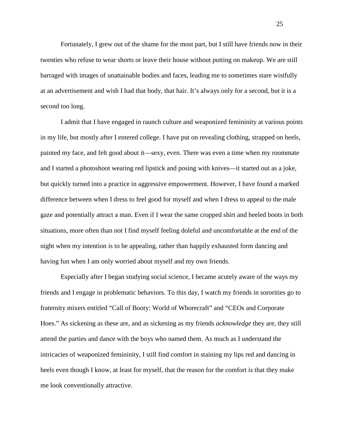Fortunately, I grew out of the shame for the most part, but I still have friends now in their twenties who refuse to wear shorts or leave their house without putting on makeup. We are still barraged with images of unattainable bodies and faces, leading me to sometimes stare wistfully at an advertisement and wish I had that body, that hair. It's always only for a second, but it is a second too long.

I admit that I have engaged in raunch culture and weaponized femininity at various points in my life, but mostly after I entered college. I have put on revealing clothing, strapped on heels, painted my face, and felt good about it—sexy, even. There was even a time when my roommate and I started a photoshoot wearing red lipstick and posing with knives—it started out as a joke, but quickly turned into a practice in aggressive empowerment. However, I have found a marked difference between when I dress to feel good for myself and when I dress to appeal to the male gaze and potentially attract a man. Even if I wear the same cropped shirt and heeled boots in both situations, more often than not I find myself feeling doleful and uncomfortable at the end of the night when my intention is to be appealing, rather than happily exhausted form dancing and having fun when I am only worried about myself and my own friends.

Especially after I began studying social science, I became acutely aware of the ways my friends and I engage in problematic behaviors. To this day, I watch my friends in sororities go to fraternity mixers entitled "Call of Booty: World of Whorecraft" and "CEOs and Corporate Hoes." As sickening as these are, and as sickening as my friends *acknowledge* they are, they still attend the parties and dance with the boys who named them. As much as I understand the intricacies of weaponized femininity, I still find comfort in staining my lips red and dancing in heels even though I know, at least for myself, that the reason for the comfort is that they make me look conventionally attractive.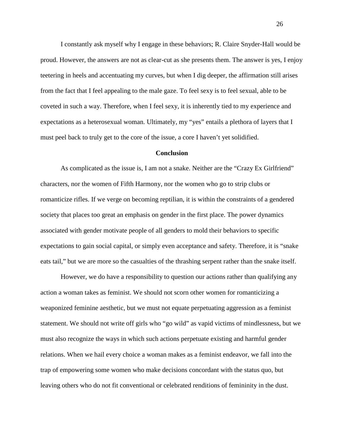I constantly ask myself why I engage in these behaviors; R. Claire Snyder-Hall would be proud. However, the answers are not as clear-cut as she presents them. The answer is yes, I enjoy teetering in heels and accentuating my curves, but when I dig deeper, the affirmation still arises from the fact that I feel appealing to the male gaze. To feel sexy is to feel sexual, able to be coveted in such a way. Therefore, when I feel sexy, it is inherently tied to my experience and expectations as a heterosexual woman. Ultimately, my "yes" entails a plethora of layers that I must peel back to truly get to the core of the issue, a core I haven't yet solidified.

#### **Conclusion**

As complicated as the issue is, I am not a snake. Neither are the "Crazy Ex Girlfriend" characters, nor the women of Fifth Harmony, nor the women who go to strip clubs or romanticize rifles. If we verge on becoming reptilian, it is within the constraints of a gendered society that places too great an emphasis on gender in the first place. The power dynamics associated with gender motivate people of all genders to mold their behaviors to specific expectations to gain social capital, or simply even acceptance and safety. Therefore, it is "snake eats tail," but we are more so the casualties of the thrashing serpent rather than the snake itself.

However, we do have a responsibility to question our actions rather than qualifying any action a woman takes as feminist. We should not scorn other women for romanticizing a weaponized feminine aesthetic, but we must not equate perpetuating aggression as a feminist statement. We should not write off girls who "go wild" as vapid victims of mindlessness, but we must also recognize the ways in which such actions perpetuate existing and harmful gender relations. When we hail every choice a woman makes as a feminist endeavor, we fall into the trap of empowering some women who make decisions concordant with the status quo, but leaving others who do not fit conventional or celebrated renditions of femininity in the dust.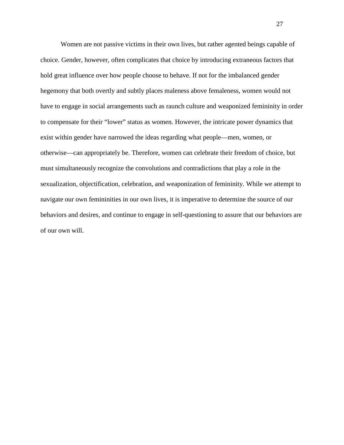Women are not passive victims in their own lives, but rather agented beings capable of choice. Gender, however, often complicates that choice by introducing extraneous factors that hold great influence over how people choose to behave. If not for the imbalanced gender hegemony that both overtly and subtly places maleness above femaleness, women would not have to engage in social arrangements such as raunch culture and weaponized femininity in order to compensate for their "lower" status as women. However, the intricate power dynamics that exist within gender have narrowed the ideas regarding what people—men, women, or otherwise—can appropriately be. Therefore, women can celebrate their freedom of choice, but must simultaneously recognize the convolutions and contradictions that play a role in the sexualization, objectification, celebration, and weaponization of femininity. While we attempt to navigate our own femininities in our own lives, it is imperative to determine the source of our behaviors and desires, and continue to engage in self-questioning to assure that our behaviors are of our own will.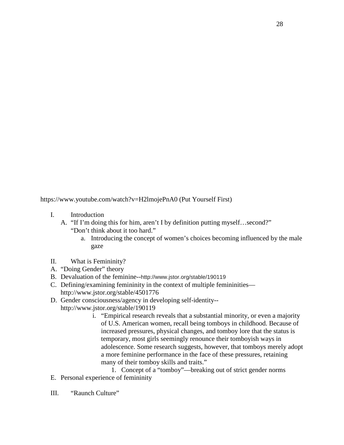<https://www.youtube.com/watch?v=H2lmojePnA0> (Put Yourself First)

- I. Introduction
	- A. "If I'm doing this for him, aren't I by definition putting myself…second?" "Don't think about it too hard."
		- a. Introducing the concept of women's choices becoming influenced by the male gaze
- II. What is Femininity?
- A. "Doing Gender" theory
- B. Devaluation of the feminine--http://www.jstor.org/stable/190119
- C. Defining/examining femininity in the context of multiple femininities http://www.jstor.org/stable/4501776
- D. Gender consciousness/agency in developing self-identity- http://www.jstor.org/stable/190119
	- i. "Empirical research reveals that a substantial minority, or even a majority of U.S. American women, recall being tomboys in childhood. Because of increased pressures, physical changes, and tomboy lore that the status is temporary, most girls seemingly renounce their tomboyish ways in adolescence. Some research suggests, however, that tomboys merely adopt a more feminine performance in the face of these pressures, retaining many of their tomboy skills and traits."
- 1. Concept of a "tomboy"—breaking out of strict gender norms E. Personal experience of femininity
- III. "Raunch Culture"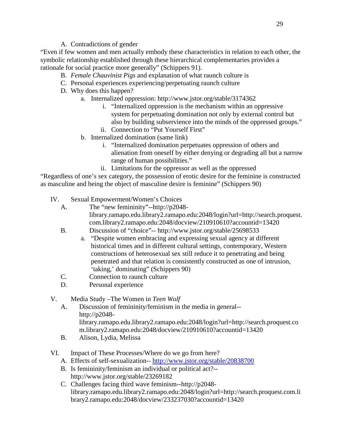## A. Contradictions of gender

"Even if few women and men actually embody these characteristics in relation to each other, the symbolic relationship established through these hierarchical complementaries provides a rationale for social practice more generally" (Schippers 91).

- B. *Female Chauvinist Pigs* and explanation of what raunch culture is
- C. Personal experiences experiencing/perpetuating raunch culture
- D. Why does this happen?
	- a. Internalized oppression:<http://www.jstor.org/stable/3174362>
		- i. "Internalized oppression is the mechanism within an oppressive system for perpetuating domination not only by external control but also by building subservience into the minds of the oppressed groups." ii. Connection to "Put Yourself First"
	- b. Internalized domination (same link)
		- i. "Internalized domination perpetuates oppression of others and alienation from oneself by either denying or degrading all but a narrow range of human possibilities."
		- ii. Limitations for the oppressor as well as the oppressed

"Regardless of one's sex category, the possession of erotic desire for the feminine is constructed as masculine and being the object of masculine desire is feminine" (Schippers 90)

- IV. Sexual Empowerment/Women's Choices
	- A. The "new femininity"--http://p2048 library.ramapo.edu.library2.ramapo.edu:2048/login?url=http://search.proquest. com.library2.ramapo.edu:2048/docview/210910610?accountid=13420
	- B. Discussion of "choice"-- <http://www.jstor.org/stable/25698533>
		- a. "Despite women embracing and expressing sexual agency at different historical times and in different cultural settings, contemporary, Western constructions of heterosexual sex still reduce it to penetrating and being penetrated and that relation is consistently constructed as one of intrusion, 'taking,' dominating" (Schippers 90)
	- C. Connection to raunch culture
	- D. Personal experience
- V. Media Study –The Women in *Teen Wolf*
	- A. Discussion of femininity/feminism in the media in general- [http://p2048](http://p2048-library.ramapo.edu.library2.ramapo.edu:2048/login?url=http://search.proquest.com.library2.ramapo.edu:2048/docview/210910610?accountid=13420) [library.ramapo.edu.library2.ramapo.edu:2048/login?url=http://search.proquest.co](http://p2048-library.ramapo.edu.library2.ramapo.edu:2048/login?url=http://search.proquest.com.library2.ramapo.edu:2048/docview/210910610?accountid=13420) [m.library2.ramapo.edu:2048/docview/210910610?accountid=13420](http://p2048-library.ramapo.edu.library2.ramapo.edu:2048/login?url=http://search.proquest.com.library2.ramapo.edu:2048/docview/210910610?accountid=13420)
	- B. Alison, Lydia, Melissa
- VI. Impact of These Processes/Where do we go from here?
	- A. Effects of self-sexualization-- <http://www.jstor.org/stable/20838700>
	- B. Is femininity/feminism an individual or political act?- http://www.jstor.org/stable/23269182
	- C. Challenges facing third wave feminism--http://p2048 library.ramapo.edu.library2.ramapo.edu:2048/login?url=http://search.proquest.com.li brary2.ramapo.edu:2048/docview/233237030?accountid=13420